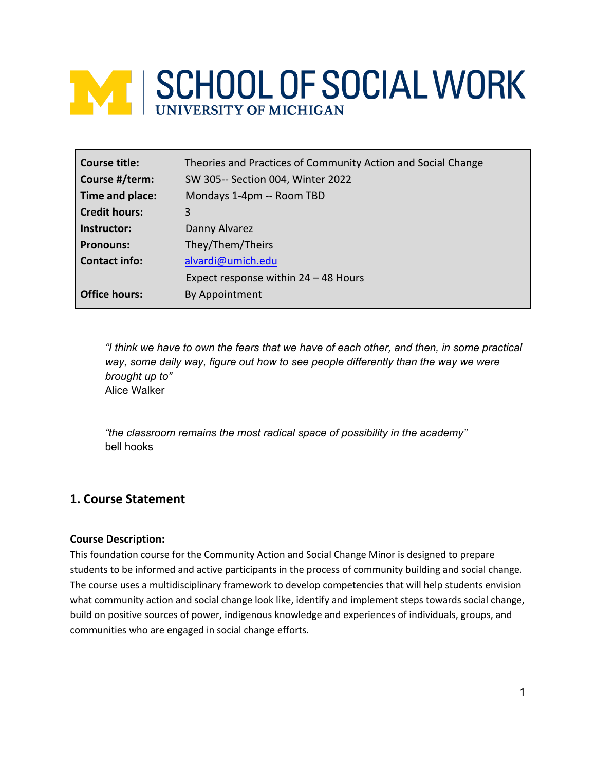# **WEISCHOOL OF SOCIAL WORK**

| Course title:        | Theories and Practices of Community Action and Social Change |
|----------------------|--------------------------------------------------------------|
| Course #/term:       | SW 305-- Section 004, Winter 2022                            |
| Time and place:      | Mondays 1-4pm -- Room TBD                                    |
| <b>Credit hours:</b> | 3                                                            |
| Instructor:          | Danny Alvarez                                                |
| <b>Pronouns:</b>     | They/Them/Theirs                                             |
| <b>Contact info:</b> | alvardi@umich.edu                                            |
|                      | Expect response within $24 - 48$ Hours                       |
| <b>Office hours:</b> | By Appointment                                               |

*"I think we have to own the fears that we have of each other, and then, in some practical way, some daily way, figure out how to see people differently than the way we were brought up to"* Alice Walker

*"the classroom remains the most radical space of possibility in the academy"*  bell hooks

# **1. Course Statement**

#### **Course Description:**

This foundation course for the Community Action and Social Change Minor is designed to prepare students to be informed and active participants in the process of community building and social change. The course uses a multidisciplinary framework to develop competencies that will help students envision what community action and social change look like, identify and implement steps towards social change, build on positive sources of power, indigenous knowledge and experiences of individuals, groups, and communities who are engaged in social change efforts.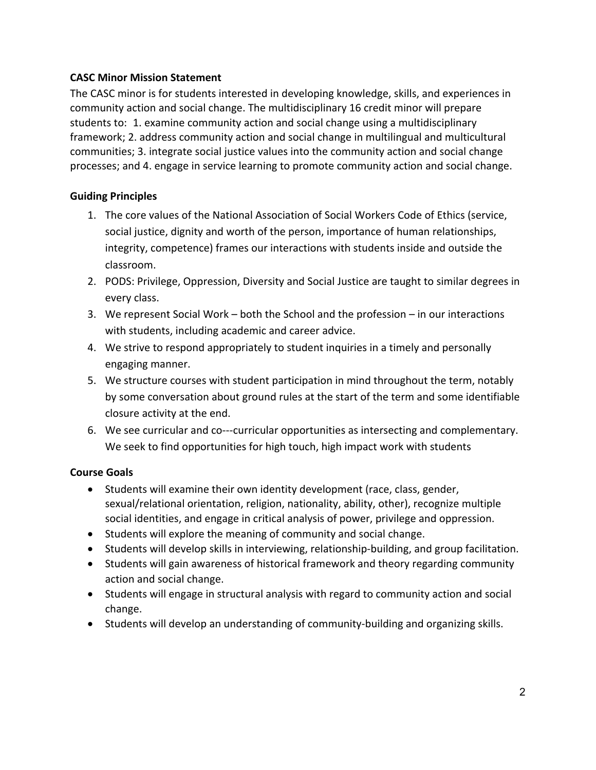## **CASC Minor Mission Statement**

The CASC minor is for students interested in developing knowledge, skills, and experiences in community action and social change. The multidisciplinary 16 credit minor will prepare students to: 1. examine community action and social change using a multidisciplinary framework; 2. address community action and social change in multilingual and multicultural communities; 3. integrate social justice values into the community action and social change processes; and 4. engage in service learning to promote community action and social change.

## **Guiding Principles**

- 1. The core values of the National Association of Social Workers Code of Ethics (service, social justice, dignity and worth of the person, importance of human relationships, integrity, competence) frames our interactions with students inside and outside the classroom.
- 2. PODS: Privilege, Oppression, Diversity and Social Justice are taught to similar degrees in every class.
- 3. We represent Social Work both the School and the profession in our interactions with students, including academic and career advice.
- 4. We strive to respond appropriately to student inquiries in a timely and personally engaging manner.
- 5. We structure courses with student participation in mind throughout the term, notably by some conversation about ground rules at the start of the term and some identifiable closure activity at the end.
- 6. We see curricular and co---curricular opportunities as intersecting and complementary. We seek to find opportunities for high touch, high impact work with students

## **Course Goals**

- Students will examine their own identity development (race, class, gender, sexual/relational orientation, religion, nationality, ability, other), recognize multiple social identities, and engage in critical analysis of power, privilege and oppression.
- Students will explore the meaning of community and social change.
- Students will develop skills in interviewing, relationship-building, and group facilitation.
- Students will gain awareness of historical framework and theory regarding community action and social change.
- Students will engage in structural analysis with regard to community action and social change.
- Students will develop an understanding of community-building and organizing skills.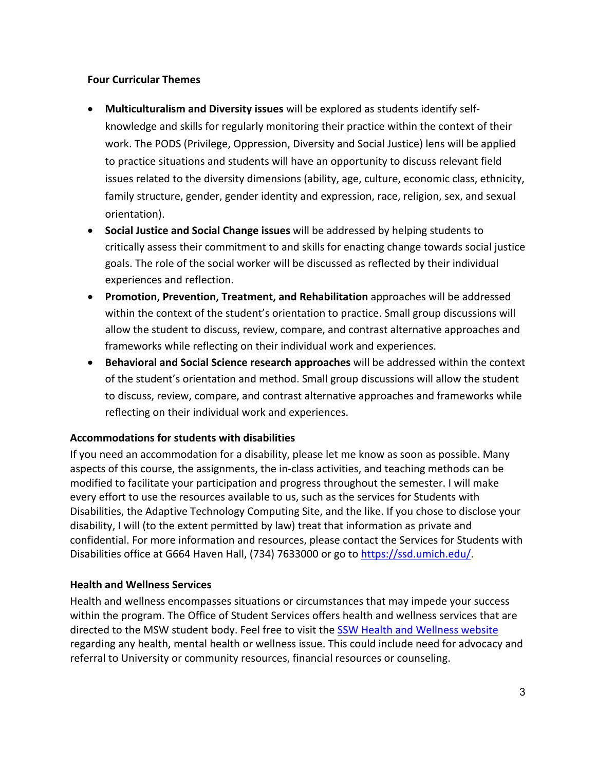## **Four Curricular Themes**

- **Multiculturalism and Diversity issues** will be explored as students identify selfknowledge and skills for regularly monitoring their practice within the context of their work. The PODS (Privilege, Oppression, Diversity and Social Justice) lens will be applied to practice situations and students will have an opportunity to discuss relevant field issues related to the diversity dimensions (ability, age, culture, economic class, ethnicity, family structure, gender, gender identity and expression, race, religion, sex, and sexual orientation).
- **Social Justice and Social Change issues** will be addressed by helping students to critically assess their commitment to and skills for enacting change towards social justice goals. The role of the social worker will be discussed as reflected by their individual experiences and reflection.
- **Promotion, Prevention, Treatment, and Rehabilitation** approaches will be addressed within the context of the student's orientation to practice. Small group discussions will allow the student to discuss, review, compare, and contrast alternative approaches and frameworks while reflecting on their individual work and experiences.
- **Behavioral and Social Science research approaches** will be addressed within the context of the student's orientation and method. Small group discussions will allow the student to discuss, review, compare, and contrast alternative approaches and frameworks while reflecting on their individual work and experiences.

## **Accommodations for students with disabilities**

If you need an accommodation for a disability, please let me know as soon as possible. Many aspects of this course, the assignments, the in-class activities, and teaching methods can be modified to facilitate your participation and progress throughout the semester. I will make every effort to use the resources available to us, such as the services for Students with Disabilities, the Adaptive Technology Computing Site, and the like. If you chose to disclose your disability, I will (to the extent permitted by law) treat that information as private and confidential. For more information and resources, please contact the Services for Students with Disabilities office at G664 Haven Hall, (734) 7633000 or go to https://ssd.umich.edu/.

#### **Health and Wellness Services**

Health and wellness encompasses situations or circumstances that may impede your success within the program. The Office of Student Services offers health and wellness services that are directed to the MSW student body. Feel free to visit the SSW Health and Wellness website regarding any health, mental health or wellness issue. This could include need for advocacy and referral to University or community resources, financial resources or counseling.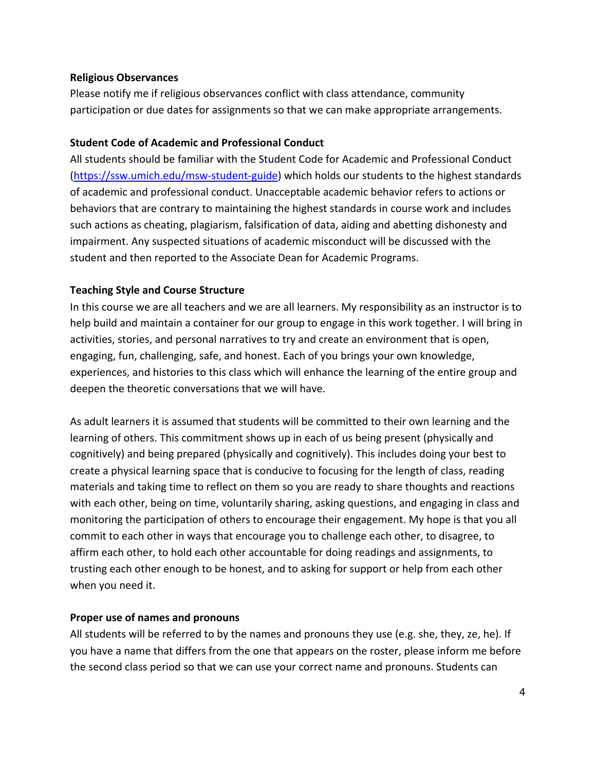#### **Religious Observances**

Please notify me if religious observances conflict with class attendance, community participation or due dates for assignments so that we can make appropriate arrangements.

#### **Student Code of Academic and Professional Conduct**

All students should be familiar with the Student Code for Academic and Professional Conduct (https://ssw.umich.edu/msw-student-guide) which holds our students to the highest standards of academic and professional conduct. Unacceptable academic behavior refers to actions or behaviors that are contrary to maintaining the highest standards in course work and includes such actions as cheating, plagiarism, falsification of data, aiding and abetting dishonesty and impairment. Any suspected situations of academic misconduct will be discussed with the student and then reported to the Associate Dean for Academic Programs.

#### **Teaching Style and Course Structure**

In this course we are all teachers and we are all learners. My responsibility as an instructor is to help build and maintain a container for our group to engage in this work together. I will bring in activities, stories, and personal narratives to try and create an environment that is open, engaging, fun, challenging, safe, and honest. Each of you brings your own knowledge, experiences, and histories to this class which will enhance the learning of the entire group and deepen the theoretic conversations that we will have.

As adult learners it is assumed that students will be committed to their own learning and the learning of others. This commitment shows up in each of us being present (physically and cognitively) and being prepared (physically and cognitively). This includes doing your best to create a physical learning space that is conducive to focusing for the length of class, reading materials and taking time to reflect on them so you are ready to share thoughts and reactions with each other, being on time, voluntarily sharing, asking questions, and engaging in class and monitoring the participation of others to encourage their engagement. My hope is that you all commit to each other in ways that encourage you to challenge each other, to disagree, to affirm each other, to hold each other accountable for doing readings and assignments, to trusting each other enough to be honest, and to asking for support or help from each other when you need it.

## **Proper use of names and pronouns**

All students will be referred to by the names and pronouns they use (e.g. she, they, ze, he). If you have a name that differs from the one that appears on the roster, please inform me before the second class period so that we can use your correct name and pronouns. Students can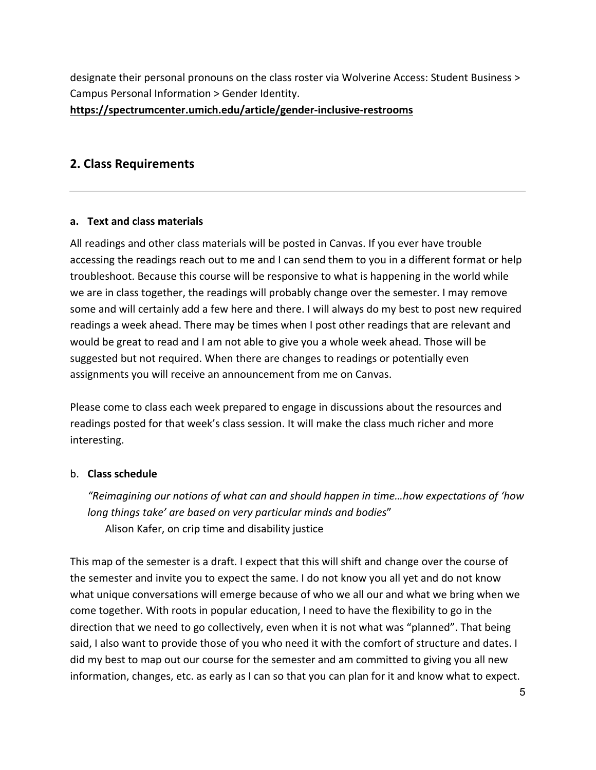designate their personal pronouns on the class roster via Wolverine Access: Student Business > Campus Personal Information > Gender Identity. **https://spectrumcenter.umich.edu/article/gender-inclusive-restrooms**

## **2. Class Requirements**

#### **a. Text and class materials**

All readings and other class materials will be posted in Canvas. If you ever have trouble accessing the readings reach out to me and I can send them to you in a different format or help troubleshoot. Because this course will be responsive to what is happening in the world while we are in class together, the readings will probably change over the semester. I may remove some and will certainly add a few here and there. I will always do my best to post new required readings a week ahead. There may be times when I post other readings that are relevant and would be great to read and I am not able to give you a whole week ahead. Those will be suggested but not required. When there are changes to readings or potentially even assignments you will receive an announcement from me on Canvas.

Please come to class each week prepared to engage in discussions about the resources and readings posted for that week's class session. It will make the class much richer and more interesting.

#### b. **Class schedule**

*"Reimagining our notions of what can and should happen in time…how expectations of 'how long things take' are based on very particular minds and bodies*" Alison Kafer, on crip time and disability justice

This map of the semester is a draft. I expect that this will shift and change over the course of the semester and invite you to expect the same. I do not know you all yet and do not know what unique conversations will emerge because of who we all our and what we bring when we come together. With roots in popular education, I need to have the flexibility to go in the direction that we need to go collectively, even when it is not what was "planned". That being said, I also want to provide those of you who need it with the comfort of structure and dates. I did my best to map out our course for the semester and am committed to giving you all new information, changes, etc. as early as I can so that you can plan for it and know what to expect.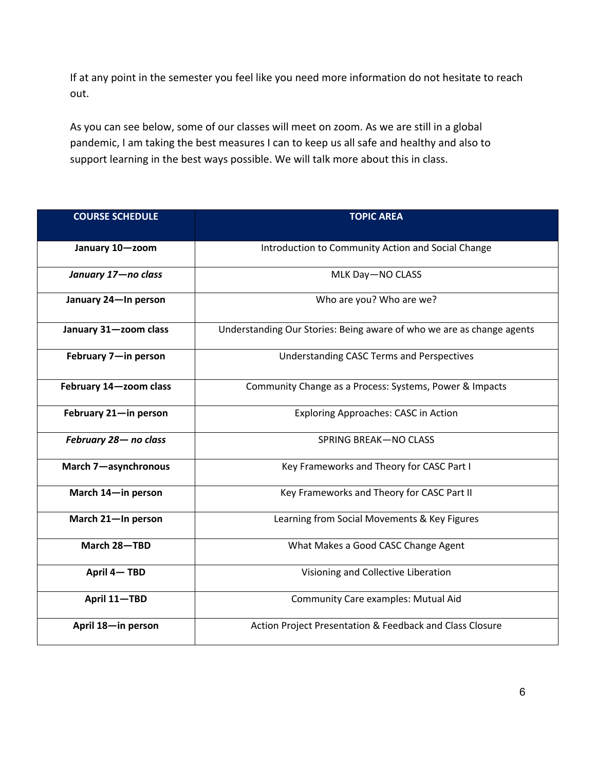If at any point in the semester you feel like you need more information do not hesitate to reach out.

As you can see below, some of our classes will meet on zoom. As we are still in a global pandemic, I am taking the best measures I can to keep us all safe and healthy and also to support learning in the best ways possible. We will talk more about this in class.

| <b>COURSE SCHEDULE</b> | <b>TOPIC AREA</b>                                                     |  |  |
|------------------------|-----------------------------------------------------------------------|--|--|
|                        |                                                                       |  |  |
| January 10-zoom        | Introduction to Community Action and Social Change                    |  |  |
| January 17-no class    | MLK Day-NO CLASS                                                      |  |  |
| January 24-In person   | Who are you? Who are we?                                              |  |  |
| January 31-zoom class  | Understanding Our Stories: Being aware of who we are as change agents |  |  |
| February 7-in person   | <b>Understanding CASC Terms and Perspectives</b>                      |  |  |
| February 14-zoom class | Community Change as a Process: Systems, Power & Impacts               |  |  |
| February 21-in person  | <b>Exploring Approaches: CASC in Action</b>                           |  |  |
| February 28- no class  | <b>SPRING BREAK-NO CLASS</b>                                          |  |  |
| March 7-asynchronous   | Key Frameworks and Theory for CASC Part I                             |  |  |
| March 14-in person     | Key Frameworks and Theory for CASC Part II                            |  |  |
| March 21-In person     | Learning from Social Movements & Key Figures                          |  |  |
| March 28-TBD           | What Makes a Good CASC Change Agent                                   |  |  |
| April 4-TBD            | Visioning and Collective Liberation                                   |  |  |
| April 11-TBD           | Community Care examples: Mutual Aid                                   |  |  |
| April 18-in person     | Action Project Presentation & Feedback and Class Closure              |  |  |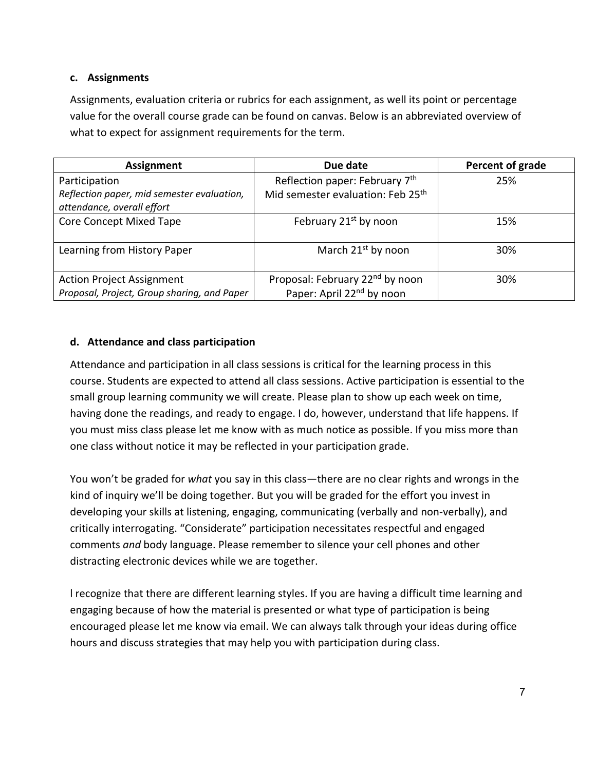#### **c. Assignments**

Assignments, evaluation criteria or rubrics for each assignment, as well its point or percentage value for the overall course grade can be found on canvas. Below is an abbreviated overview of what to expect for assignment requirements for the term.

| Assignment                                                               | Due date                                      | Percent of grade |
|--------------------------------------------------------------------------|-----------------------------------------------|------------------|
| Participation                                                            | Reflection paper: February 7th                | 25%              |
| Reflection paper, mid semester evaluation,<br>attendance, overall effort | Mid semester evaluation: Feb 25 <sup>th</sup> |                  |
| <b>Core Concept Mixed Tape</b>                                           | February 21 <sup>st</sup> by noon             | 15%              |
|                                                                          |                                               |                  |
| Learning from History Paper                                              | March $21^{st}$ by noon                       | 30%              |
|                                                                          |                                               |                  |
| <b>Action Project Assignment</b>                                         | Proposal: February 22 <sup>nd</sup> by noon   | 30%              |
| Proposal, Project, Group sharing, and Paper                              | Paper: April 22 <sup>nd</sup> by noon         |                  |

## **d. Attendance and class participation**

Attendance and participation in all class sessions is critical for the learning process in this course. Students are expected to attend all class sessions. Active participation is essential to the small group learning community we will create. Please plan to show up each week on time, having done the readings, and ready to engage. I do, however, understand that life happens. If you must miss class please let me know with as much notice as possible. If you miss more than one class without notice it may be reflected in your participation grade.

You won't be graded for *what* you say in this class—there are no clear rights and wrongs in the kind of inquiry we'll be doing together. But you will be graded for the effort you invest in developing your skills at listening, engaging, communicating (verbally and non-verbally), and critically interrogating. "Considerate" participation necessitates respectful and engaged comments *and* body language. Please remember to silence your cell phones and other distracting electronic devices while we are together.

l recognize that there are different learning styles. If you are having a difficult time learning and engaging because of how the material is presented or what type of participation is being encouraged please let me know via email. We can always talk through your ideas during office hours and discuss strategies that may help you with participation during class.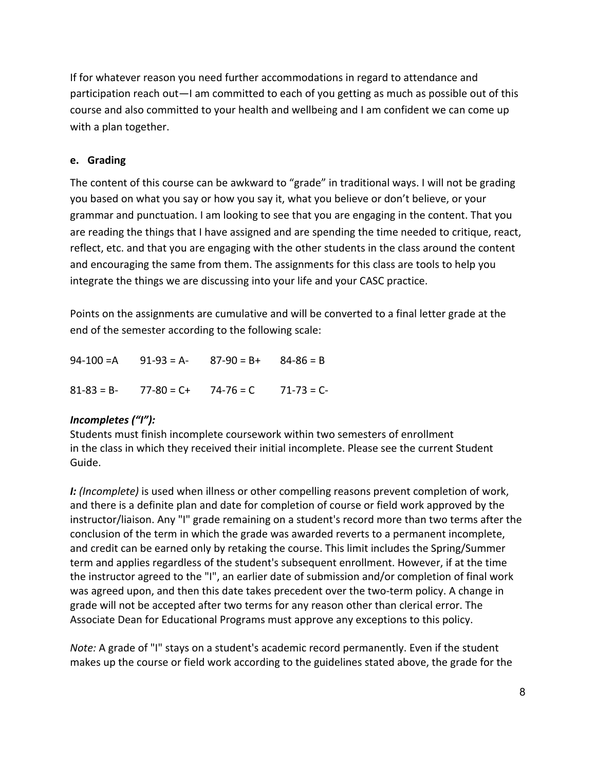If for whatever reason you need further accommodations in regard to attendance and participation reach out—I am committed to each of you getting as much as possible out of this course and also committed to your health and wellbeing and I am confident we can come up with a plan together.

## **e. Grading**

The content of this course can be awkward to "grade" in traditional ways. I will not be grading you based on what you say or how you say it, what you believe or don't believe, or your grammar and punctuation. I am looking to see that you are engaging in the content. That you are reading the things that I have assigned and are spending the time needed to critique, react, reflect, etc. and that you are engaging with the other students in the class around the content and encouraging the same from them. The assignments for this class are tools to help you integrate the things we are discussing into your life and your CASC practice.

Points on the assignments are cumulative and will be converted to a final letter grade at the end of the semester according to the following scale:

|  | $94-100 = A$ $91-93 = A 87-90 = B+$ $84-86 = B$ |  |
|--|-------------------------------------------------|--|
|  | $81-83 = B - 77-80 = C + 74-76 = C$ 71-73 = C-  |  |

# *Incompletes ("I"):*

Students must finish incomplete coursework within two semesters of enrollment in the class in which they received their initial incomplete. Please see the current Student Guide.

*I: (Incomplete)* is used when illness or other compelling reasons prevent completion of work, and there is a definite plan and date for completion of course or field work approved by the instructor/liaison. Any "I" grade remaining on a student's record more than two terms after the conclusion of the term in which the grade was awarded reverts to a permanent incomplete, and credit can be earned only by retaking the course. This limit includes the Spring/Summer term and applies regardless of the student's subsequent enrollment. However, if at the time the instructor agreed to the "I", an earlier date of submission and/or completion of final work was agreed upon, and then this date takes precedent over the two-term policy. A change in grade will not be accepted after two terms for any reason other than clerical error. The Associate Dean for Educational Programs must approve any exceptions to this policy.

*Note:* A grade of "I" stays on a student's academic record permanently. Even if the student makes up the course or field work according to the guidelines stated above, the grade for the